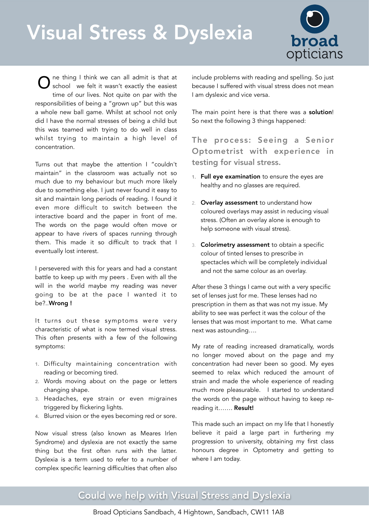# Visual Stress & Dyslexia



ne thing I think we can all admit is that at school we felt it wasn't exactly the easiest time of our lives. Not quite on par with the responsibilities of being a "grown up" but this was a whole new ball game. Whilst at school not only did I have the normal stresses of being a child but this was teamed with trying to do well in class whilst trying to maintain a high level of concentration. O

Dyslexia

Turns out that maybe the attention I "couldn't maintain" in the classroom was actually not so much due to my behaviour but much more likely due to something else. I just never found it easy to sit and maintain long periods of reading. I found it even more difficult to switch between the interactive board and the paper in front of me. The words on the page would often move or appear to have rivers of spaces running through them. This made it so difficult to track that I eventually lost interest.

I persevered with this for years and had a constant battle to keep up with my peers . Even with all the will in the world maybe my reading was never going to be at the pace I wanted it to be?..Wrong !

It turns out these symptoms were very characteristic of what is now termed visual stress. This often presents with a few of the following symptoms:

- 1. Difficulty maintaining concentration with reading or becoming tired.
- 2. Words moving about on the page or letters changing shape.
- 3. Headaches, eye strain or even migraines triggered by flickering lights.
- 4. Blurred vision or the eyes becoming red or sore.

Now visual stress (also known as Meares Irlen Syndrome) and dyslexia are not exactly the same thing but the first often runs with the latter. Dyslexia is a term used to refer to a number of complex specific learning difficulties that often also

include problems with reading and spelling. So just because I suffered with visual stress does not mean I am dyslexic and vice versa.

The main point here is that there was a solution! So next the following 3 things happened:

The process: Seeing a Senior Optometrist with experience in testing for visual stress.

- 1. Full eye examination to ensure the eyes are healthy and no glasses are required.
- 2. Overlay assessment to understand how coloured overlays may assist in reducing visual stress. (Often an overlay alone is enough to help someone with visual stress).
- 3. Colorimetry assessment to obtain a specific colour of tinted lenses to prescribe in spectacles which will be completely individual and not the same colour as an overlay.

After these 3 things I came out with a very specific set of lenses just for me. These lenses had no prescription in them as that was not my issue. My ability to see was perfect it was the colour of the lenses that was most important to me. What came next was astounding….

My rate of reading increased dramatically, words no longer moved about on the page and my concentration had never been so good. My eyes seemed to relax which reduced the amount of strain and made the whole experience of reading much more pleasurable. I started to understand the words on the page without having to keep rereading it……. Result!

This made such an impact on my life that I honestly believe it paid a large part in furthering my progression to university, obtaining my first class honours degree in Optometry and getting to where I am today.

## Could we help with Visual Stress and Dyslexia

Broad Opticians Sandbach, 4 Hightown, Sandbach, CW11 1AB